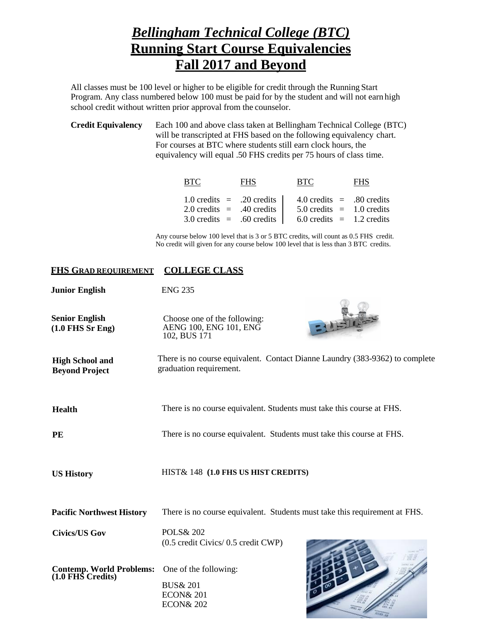## *Bellingham Technical College (BTC)* **Running Start Course Equivalencies Fall 2017 and Beyond**

All classes must be 100 level or higher to be eligible for credit through the Running Start Program. Any class numbered below 100 must be paid for by the student and will not earn high school credit without written prior approval from the counselor.

**Credit Equivalency** Each 100 and above class taken at Bellingham Technical College (BTC) will be transcripted at FHS based on the following equivalency chart. For courses at BTC where students still earn clock hours, the equivalency will equal .50 FHS credits per 75 hours of class time.

| BTC                         | <b>FHS</b>                                  | <b>BTC</b> | <b>FHS</b>                                                   |
|-----------------------------|---------------------------------------------|------------|--------------------------------------------------------------|
| $2.0$ credits = .40 credits | $1.0 \text{ credits} = .20 \text{ credits}$ |            | $4.0$ credits = .80 credits<br>$5.0$ credits $= 1.0$ credits |
| $3.0$ credits = .60 credits |                                             |            | $6.0$ credits $=$ 1.2 credits                                |

Any course below 100 level that is 3 or 5 BTC credits, will count as 0.5 FHS credit. No credit will given for any course below 100 level that is less than 3 BTC credits.

## **FHS GRAD REQUIREMENT COLLEGE CLASS**

| <b>Junior English</b>                                | <b>ENG 235</b>                                                                                          |
|------------------------------------------------------|---------------------------------------------------------------------------------------------------------|
| <b>Senior English</b><br>$(1.0$ FHS Sr Eng)          | Choose one of the following:<br>AENG 100, ENG 101, ENG<br>102, BUS 171                                  |
| <b>High School and</b><br><b>Beyond Project</b>      | There is no course equivalent. Contact Dianne Laundry (383-9362) to complete<br>graduation requirement. |
| <b>Health</b>                                        | There is no course equivalent. Students must take this course at FHS.                                   |
| <b>PE</b>                                            | There is no course equivalent. Students must take this course at FHS.                                   |
| <b>US History</b>                                    | HIST& 148 (1.0 FHS US HIST CREDITS)                                                                     |
| <b>Pacific Northwest History</b>                     | There is no course equivalent. Students must take this requirement at FHS.                              |
| <b>Civics/US Gov</b>                                 | <b>POLS&amp; 202</b><br>(0.5 credit Civics/ 0.5 credit CWP)                                             |
| <b>Contemp. World Problems:</b><br>(1.0 FHS Credits) | One of the following:<br><b>BUS&amp; 201</b><br><b>ECON&amp; 201</b><br><b>ECON&amp; 202</b>            |